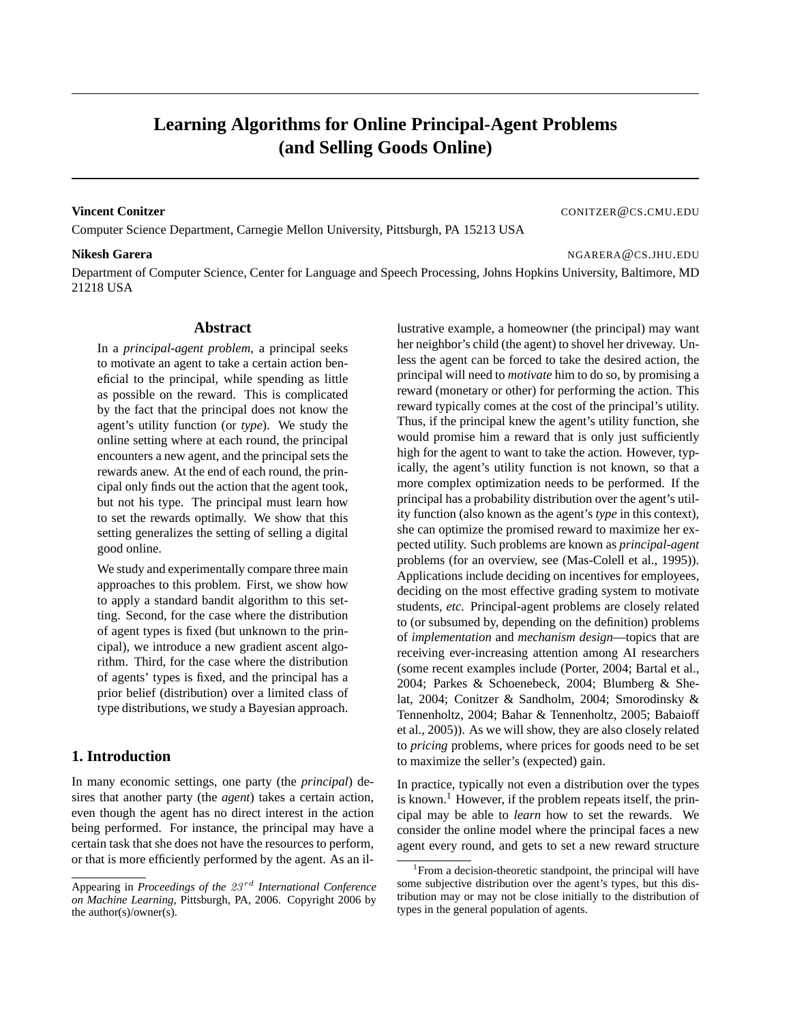# **Learning Algorithms for Online Principal-Agent Problems (and Selling Goods Online)**

Computer Science Department, Carnegie Mellon University, Pittsburgh, PA 15213 USA

#### **Nikesh Garera** NGARERA @CS.JHU.EDU

**Vincent Conitzer** Controller Controller Controller Controller Controller Controller Controller Controller Controller Controller Controller Controller Controller Controller Controller Controller Controller Controller Contr

Department of Computer Science, Center for Language and Speech Processing, Johns Hopkins University, Baltimore, MD 21218 USA

#### **Abstract**

In a *principal-agent problem*, a principal seeks to motivate an agent to take a certain action beneficial to the principal, while spending as little as possible on the reward. This is complicated by the fact that the principal does not know the agent's utility function (or *type*). We study the online setting where at each round, the principal encounters a new agent, and the principal sets the rewards anew. At the end of each round, the principal only finds out the action that the agent took, but not his type. The principal must learn how to set the rewards optimally. We show that this setting generalizes the setting of selling a digital good online.

We study and experimentally compare three main approaches to this problem. First, we show how to apply a standard bandit algorithm to this setting. Second, for the case where the distribution of agent types is fixed (but unknown to the principal), we introduce a new gradient ascent algorithm. Third, for the case where the distribution of agents' types is fixed, and the principal has a prior belief (distribution) over a limited class of type distributions, we study a Bayesian approach.

## **1. Introduction**

In many economic settings, one party (the *principal*) desires that another party (the *agent*) takes a certain action, even though the agent has no direct interest in the action being performed. For instance, the principal may have a certain task that she does not have the resources to perform, or that is more efficiently performed by the agent. As an illustrative example, a homeowner (the principal) may want her neighbor's child (the agent) to shovel her driveway. Unless the agent can be forced to take the desired action, the principal will need to *motivate* him to do so, by promising a reward (monetary or other) for performing the action. This reward typically comes at the cost of the principal's utility. Thus, if the principal knew the agent's utility function, she would promise him a reward that is only just sufficiently high for the agent to want to take the action. However, typically, the agent's utility function is not known, so that a more complex optimization needs to be performed. If the principal has a probability distribution over the agent's utility function (also known as the agent's *type* in this context), she can optimize the promised reward to maximize her expected utility. Such problems are known as *principal-agent* problems (for an overview, see (Mas-Colell et al., 1995)). Applications include deciding on incentives for employees, deciding on the most effective grading system to motivate students, *etc.* Principal-agent problems are closely related to (or subsumed by, depending on the definition) problems of *implementation* and *mechanism design*—topics that are receiving ever-increasing attention among AI researchers (some recent examples include (Porter, 2004; Bartal et al., 2004; Parkes & Schoenebeck, 2004; Blumberg & Shelat, 2004; Conitzer & Sandholm, 2004; Smorodinsky & Tennenholtz, 2004; Bahar & Tennenholtz, 2005; Babaioff et al., 2005)). As we will show, they are also closely related to *pricing* problems, where prices for goods need to be set to maximize the seller's (expected) gain.

In practice, typically not even a distribution over the types is known.<sup>1</sup> However, if the problem repeats itself, the principal may be able to *learn* how to set the rewards. We consider the online model where the principal faces a new agent every round, and gets to set a new reward structure

Appearing in *Proceedings of the 23<sup>rd</sup> International Conference on Machine Learning*, Pittsburgh, PA, 2006. Copyright 2006 by the author(s)/owner(s).

<sup>&</sup>lt;sup>1</sup> From a decision-theoretic standpoint, the principal will have some subjective distribution over the agent's types, but this distribution may or may not be close initially to the distribution of types in the general population of agents.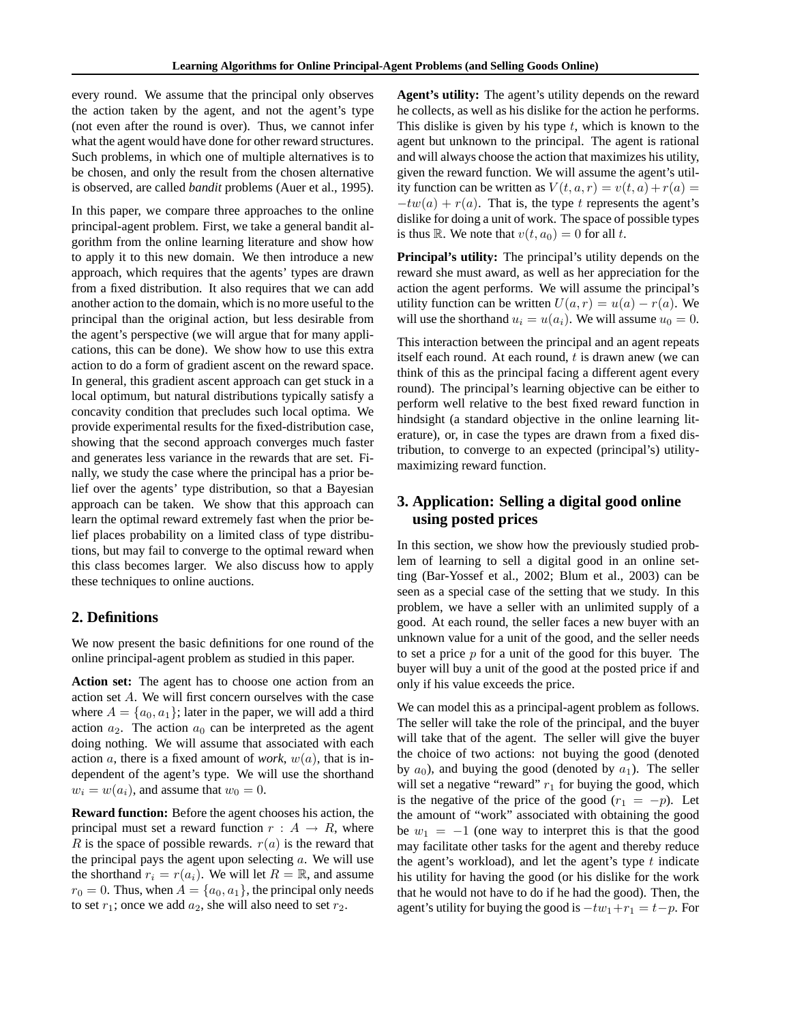every round. We assume that the principal only observes the action taken by the agent, and not the agent's type (not even after the round is over). Thus, we cannot infer what the agent would have done for other reward structures. Such problems, in which one of multiple alternatives is to be chosen, and only the result from the chosen alternative is observed, are called *bandit* problems (Auer et al., 1995).

In this paper, we compare three approaches to the online principal-agent problem. First, we take a general bandit algorithm from the online learning literature and show how to apply it to this new domain. We then introduce a new approach, which requires that the agents' types are drawn from a fixed distribution. It also requires that we can add another action to the domain, which is no more useful to the principal than the original action, but less desirable from the agent's perspective (we will argue that for many applications, this can be done). We show how to use this extra action to do a form of gradient ascent on the reward space. In general, this gradient ascent approach can get stuck in a local optimum, but natural distributions typically satisfy a concavity condition that precludes such local optima. We provide experimental results for the fixed-distribution case, showing that the second approach converges much faster and generates less variance in the rewards that are set. Finally, we study the case where the principal has a prior belief over the agents' type distribution, so that a Bayesian approach can be taken. We show that this approach can learn the optimal reward extremely fast when the prior belief places probability on a limited class of type distributions, but may fail to converge to the optimal reward when this class becomes larger. We also discuss how to apply these techniques to online auctions.

## **2. Definitions**

We now present the basic definitions for one round of the online principal-agent problem as studied in this paper.

**Action set:** The agent has to choose one action from an action set A. We will first concern ourselves with the case where  $A = \{a_0, a_1\}$ ; later in the paper, we will add a third action  $a_2$ . The action  $a_0$  can be interpreted as the agent doing nothing. We will assume that associated with each action a, there is a fixed amount of *work*,  $w(a)$ , that is independent of the agent's type. We will use the shorthand  $w_i = w(a_i)$ , and assume that  $w_0 = 0$ .

**Reward function:** Before the agent chooses his action, the principal must set a reward function  $r : A \rightarrow R$ , where R is the space of possible rewards.  $r(a)$  is the reward that the principal pays the agent upon selecting  $a$ . We will use the shorthand  $r_i = r(a_i)$ . We will let  $R = \mathbb{R}$ , and assume  $r_0 = 0$ . Thus, when  $A = \{a_0, a_1\}$ , the principal only needs to set  $r_1$ ; once we add  $a_2$ , she will also need to set  $r_2$ .

**Agent's utility:** The agent's utility depends on the reward he collects, as well as his dislike for the action he performs. This dislike is given by his type  $t$ , which is known to the agent but unknown to the principal. The agent is rational and will always choose the action that maximizes his utility, given the reward function. We will assume the agent's utility function can be written as  $V(t, a, r) = v(t, a) + r(a) =$  $-tw(a) + r(a)$ . That is, the type t represents the agent's dislike for doing a unit of work. The space of possible types is thus R. We note that  $v(t, a_0)=0$  for all t.

**Principal's utility:** The principal's utility depends on the reward she must award, as well as her appreciation for the action the agent performs. We will assume the principal's utility function can be written  $U(a, r) = u(a) - r(a)$ . We will use the shorthand  $u_i = u(a_i)$ . We will assume  $u_0 = 0$ .

This interaction between the principal and an agent repeats itself each round. At each round,  $t$  is drawn anew (we can think of this as the principal facing a different agent every round). The principal's learning objective can be either to perform well relative to the best fixed reward function in hindsight (a standard objective in the online learning literature), or, in case the types are drawn from a fixed distribution, to converge to an expected (principal's) utilitymaximizing reward function.

## **3. Application: Selling a digital good online using posted prices**

In this section, we show how the previously studied problem of learning to sell a digital good in an online setting (Bar-Yossef et al., 2002; Blum et al., 2003) can be seen as a special case of the setting that we study. In this problem, we have a seller with an unlimited supply of a good. At each round, the seller faces a new buyer with an unknown value for a unit of the good, and the seller needs to set a price  $p$  for a unit of the good for this buyer. The buyer will buy a unit of the good at the posted price if and only if his value exceeds the price.

We can model this as a principal-agent problem as follows. The seller will take the role of the principal, and the buyer will take that of the agent. The seller will give the buyer the choice of two actions: not buying the good (denoted by  $a_0$ ), and buying the good (denoted by  $a_1$ ). The seller will set a negative "reward"  $r_1$  for buying the good, which is the negative of the price of the good  $(r_1 = -p)$ . Let the amount of "work" associated with obtaining the good be  $w_1 = -1$  (one way to interpret this is that the good may facilitate other tasks for the agent and thereby reduce the agent's workload), and let the agent's type  $t$  indicate his utility for having the good (or his dislike for the work that he would not have to do if he had the good). Then, the agent's utility for buying the good is  $-tw_1+r_1 = t-p$ . For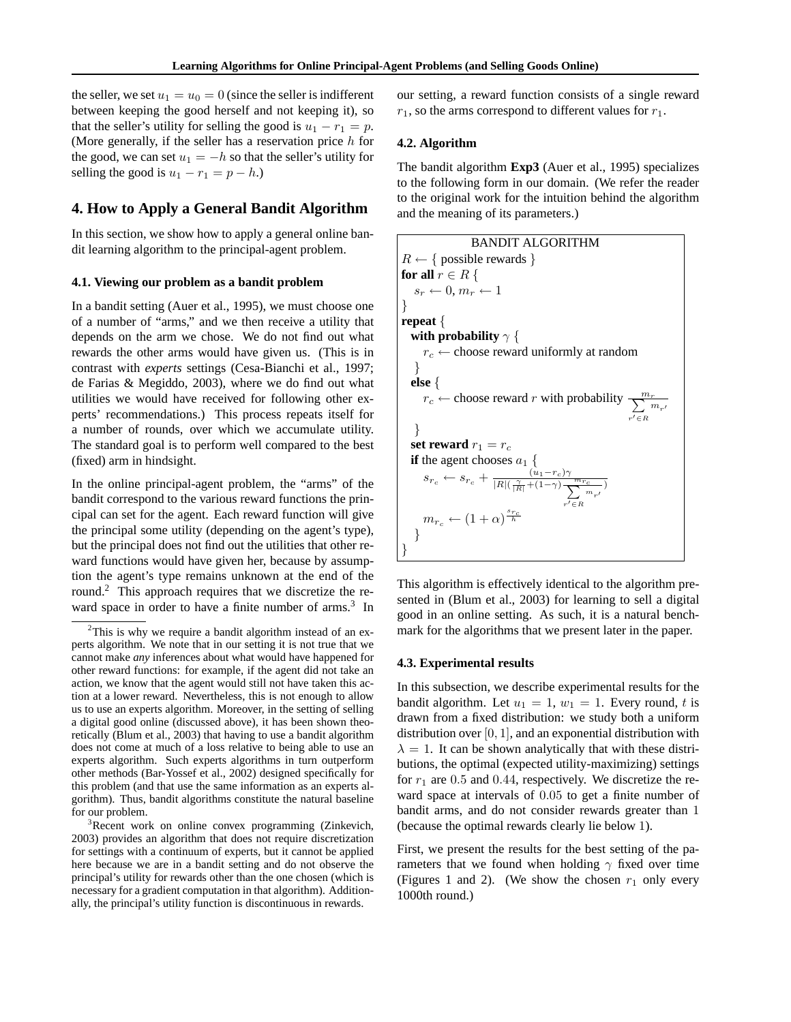the seller, we set  $u_1 = u_0 = 0$  (since the seller is indifferent between keeping the good herself and not keeping it), so that the seller's utility for selling the good is  $u_1 - r_1 = p$ . (More generally, if the seller has a reservation price  $h$  for the good, we can set  $u_1 = -h$  so that the seller's utility for selling the good is  $u_1 - r_1 = p - h$ .)

## **4. How to Apply a General Bandit Algorithm**

In this section, we show how to apply a general online bandit learning algorithm to the principal-agent problem.

#### **4.1. Viewing our problem as a bandit problem**

In a bandit setting (Auer et al., 1995), we must choose one of a number of "arms," and we then receive a utility that depends on the arm we chose. We do not find out what rewards the other arms would have given us. (This is in contrast with *experts* settings (Cesa-Bianchi et al., 1997; de Farias & Megiddo, 2003), where we do find out what utilities we would have received for following other experts' recommendations.) This process repeats itself for a number of rounds, over which we accumulate utility. The standard goal is to perform well compared to the best (fixed) arm in hindsight.

In the online principal-agent problem, the "arms" of the bandit correspond to the various reward functions the principal can set for the agent. Each reward function will give the principal some utility (depending on the agent's type), but the principal does not find out the utilities that other reward functions would have given her, because by assumption the agent's type remains unknown at the end of the round.2 This approach requires that we discretize the reward space in order to have a finite number of arms.<sup>3</sup> In our setting, a reward function consists of a single reward  $r_1$ , so the arms correspond to different values for  $r_1$ .

#### **4.2. Algorithm**

The bandit algorithm **Exp3** (Auer et al., 1995) specializes to the following form in our domain. (We refer the reader to the original work for the intuition behind the algorithm and the meaning of its parameters.)

```
BANDIT ALGORITHM
R \leftarrow \{ possible rewards \}for all r \in R {
    s_r \leftarrow 0, m_r \leftarrow 1}
repeat {
   with probability \gamma {
       r_c \leftarrow choose reward uniformly at random
     }
   else {
        r_c \leftarrow choose reward r with probability \frac{m_r}{\sum_{i=1}^{n_r}}r' \in R\overline{m_{r^{\prime}}}}
   set reward r_1 = r_cif the agent chooses a_1 {
        s_{r_c} \leftarrow s_{r_c} + \frac{\left(\tilde{u}_1 - r_c\right)\gamma}{|R| \left(\frac{\gamma}{|R|} + (1-\gamma)\right)\frac{m_{r_c}}{\sum_{n=1}^{n}}},r' \in R\frac{c}{m_{r'}})m_{r_c} \leftarrow (1+\alpha)^{\frac{s_{r_c}}{\hbar}}}
}
```
This algorithm is effectively identical to the algorithm presented in (Blum et al., 2003) for learning to sell a digital good in an online setting. As such, it is a natural benchmark for the algorithms that we present later in the paper.

#### **4.3. Experimental results**

In this subsection, we describe experimental results for the bandit algorithm. Let  $u_1 = 1$ ,  $w_1 = 1$ . Every round, t is drawn from a fixed distribution: we study both a uniform distribution over  $[0, 1]$ , and an exponential distribution with  $\lambda = 1$ . It can be shown analytically that with these distributions, the optimal (expected utility-maximizing) settings for  $r_1$  are 0.5 and 0.44, respectively. We discretize the reward space at intervals of 0.05 to get a finite number of bandit arms, and do not consider rewards greater than 1 (because the optimal rewards clearly lie below 1).

First, we present the results for the best setting of the parameters that we found when holding  $\gamma$  fixed over time (Figures 1 and 2). (We show the chosen  $r_1$  only every 1000th round.)

 $2$ This is why we require a bandit algorithm instead of an experts algorithm. We note that in our setting it is not true that we cannot make *any* inferences about what would have happened for other reward functions: for example, if the agent did not take an action, we know that the agent would still not have taken this action at a lower reward. Nevertheless, this is not enough to allow us to use an experts algorithm. Moreover, in the setting of selling a digital good online (discussed above), it has been shown theoretically (Blum et al., 2003) that having to use a bandit algorithm does not come at much of a loss relative to being able to use an experts algorithm. Such experts algorithms in turn outperform other methods (Bar-Yossef et al., 2002) designed specifically for this problem (and that use the same information as an experts algorithm). Thus, bandit algorithms constitute the natural baseline for our problem.

<sup>&</sup>lt;sup>3</sup>Recent work on online convex programming (Zinkevich, 2003) provides an algorithm that does not require discretization for settings with a continuum of experts, but it cannot be applied here because we are in a bandit setting and do not observe the principal's utility for rewards other than the one chosen (which is necessary for a gradient computation in that algorithm). Additionally, the principal's utility function is discontinuous in rewards.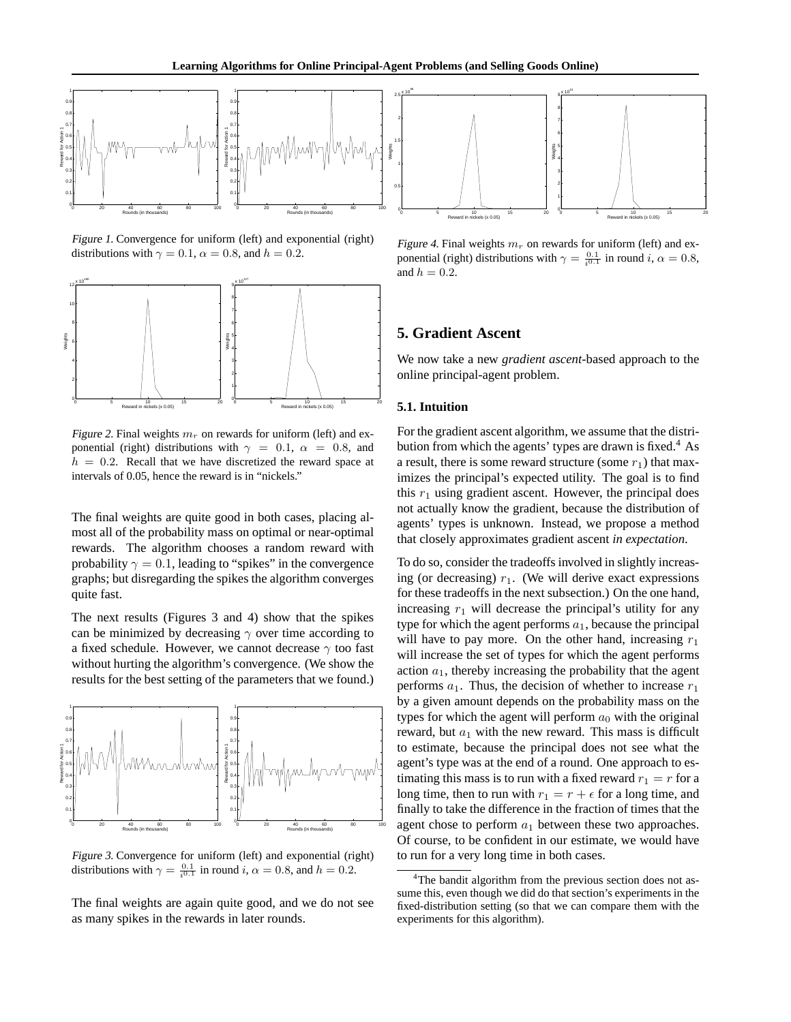

Figure 1. Convergence for uniform (left) and exponential (right) distributions with  $\gamma = 0.1$ ,  $\alpha = 0.8$ , and  $h = 0.2$ .



Figure 2. Final weights  $m_r$  on rewards for uniform (left) and exponential (right) distributions with  $\gamma = 0.1$ ,  $\alpha = 0.8$ , and  $h = 0.2$ . Recall that we have discretized the reward space at intervals of 0.05, hence the reward is in "nickels."

The final weights are quite good in both cases, placing almost all of the probability mass on optimal or near-optimal rewards. The algorithm chooses a random reward with probability  $\gamma = 0.1$ , leading to "spikes" in the convergence graphs; but disregarding the spikes the algorithm converges quite fast.

The next results (Figures 3 and 4) show that the spikes can be minimized by decreasing  $\gamma$  over time according to a fixed schedule. However, we cannot decrease  $\gamma$  too fast without hurting the algorithm's convergence. (We show the results for the best setting of the parameters that we found.)



Figure 3. Convergence for uniform (left) and exponential (right) distributions with  $\gamma = \frac{0.1}{i^{0.1}}$  in round i,  $\alpha = 0.8$ , and  $h = 0.2$ .

The final weights are again quite good, and we do not see as many spikes in the rewards in later rounds.



Figure 4. Final weights  $m_r$  on rewards for uniform (left) and exponential (right) distributions with  $\gamma = \frac{0.1}{i^{0.1}}$  in round  $i, \alpha = 0.8$ , and  $h = 0.2$ .

## **5. Gradient Ascent**

We now take a new *gradient ascent*-based approach to the online principal-agent problem.

#### **5.1. Intuition**

For the gradient ascent algorithm, we assume that the distribution from which the agents' types are drawn is fixed.<sup>4</sup> As a result, there is some reward structure (some  $r_1$ ) that maximizes the principal's expected utility. The goal is to find this  $r_1$  using gradient ascent. However, the principal does not actually know the gradient, because the distribution of agents' types is unknown. Instead, we propose a method that closely approximates gradient ascent *in expectation*.

To do so, consider the tradeoffs involved in slightly increasing (or decreasing)  $r_1$ . (We will derive exact expressions for these tradeoffs in the next subsection.) On the one hand, increasing  $r_1$  will decrease the principal's utility for any type for which the agent performs  $a_1$ , because the principal will have to pay more. On the other hand, increasing  $r_1$ will increase the set of types for which the agent performs action  $a_1$ , thereby increasing the probability that the agent performs  $a_1$ . Thus, the decision of whether to increase  $r_1$ by a given amount depends on the probability mass on the types for which the agent will perform  $a_0$  with the original reward, but  $a_1$  with the new reward. This mass is difficult to estimate, because the principal does not see what the agent's type was at the end of a round. One approach to estimating this mass is to run with a fixed reward  $r_1 = r$  for a long time, then to run with  $r_1 = r + \epsilon$  for a long time, and finally to take the difference in the fraction of times that the agent chose to perform  $a_1$  between these two approaches. Of course, to be confident in our estimate, we would have to run for a very long time in both cases.

<sup>&</sup>lt;sup>4</sup>The bandit algorithm from the previous section does not assume this, even though we did do that section's experiments in the fixed-distribution setting (so that we can compare them with the experiments for this algorithm).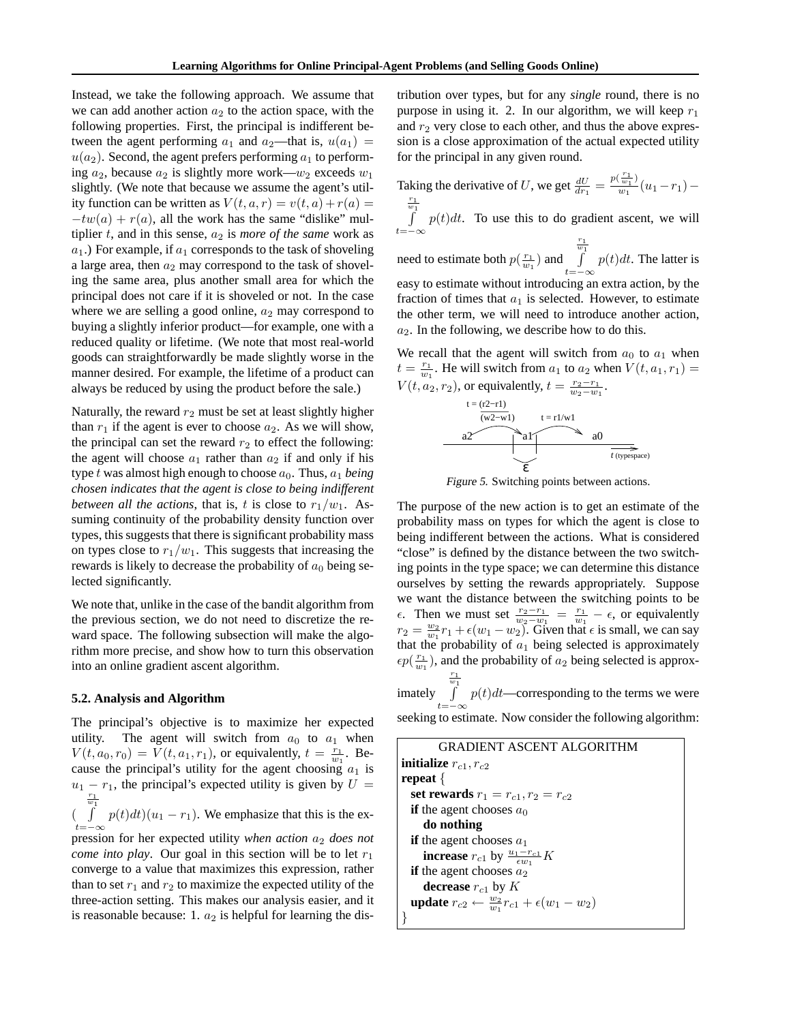Instead, we take the following approach. We assume that we can add another action  $a_2$  to the action space, with the following properties. First, the principal is indifferent between the agent performing  $a_1$  and  $a_2$ —that is,  $u(a_1)$  =  $u(a_2)$ . Second, the agent prefers performing  $a_1$  to performing  $a_2$ , because  $a_2$  is slightly more work— $w_2$  exceeds  $w_1$ slightly. (We note that because we assume the agent's utility function can be written as  $V(t, a, r) = v(t, a) + r(a) =$  $-tw(a) + r(a)$ , all the work has the same "dislike" multiplier  $t$ , and in this sense,  $a_2$  is *more of the same* work as  $a_1$ .) For example, if  $a_1$  corresponds to the task of shoveling a large area, then  $a_2$  may correspond to the task of shoveling the same area, plus another small area for which the principal does not care if it is shoveled or not. In the case where we are selling a good online,  $a_2$  may correspond to buying a slightly inferior product—for example, one with a reduced quality or lifetime. (We note that most real-world goods can straightforwardly be made slightly worse in the manner desired. For example, the lifetime of a product can always be reduced by using the product before the sale.)

Naturally, the reward  $r_2$  must be set at least slightly higher than  $r_1$  if the agent is ever to choose  $a_2$ . As we will show, the principal can set the reward  $r_2$  to effect the following: the agent will choose  $a_1$  rather than  $a_2$  if and only if his type t was almost high enough to choose  $a_0$ . Thus,  $a_1$  *being chosen indicates that the agent is close to being indifferent between all the actions*, that is, t is close to  $r_1/w_1$ . Assuming continuity of the probability density function over types, this suggests that there is significant probability mass on types close to  $r_1/w_1$ . This suggests that increasing the rewards is likely to decrease the probability of  $a_0$  being selected significantly.

We note that, unlike in the case of the bandit algorithm from the previous section, we do not need to discretize the reward space. The following subsection will make the algorithm more precise, and show how to turn this observation into an online gradient ascent algorithm.

#### **5.2. Analysis and Algorithm**

The principal's objective is to maximize her expected utility. The agent will switch from  $a_0$  to  $a_1$  when  $V(t, a_0, r_0) = V(t, a_1, r_1)$ , or equivalently,  $t = \frac{r_1}{w_1}$ . Because the principal's utility for the agent choosing  $a_1$  is  $u_1 - r_1$ , the principal's expected utility is given by  $U =$  $\begin{pmatrix} 1 \\ 1 \end{pmatrix}$  $t=-\infty$  $p(t)dt$  $(u_1 - r_1)$ . We emphasize that this is the ex-

pression for her expected utility *when action*  $a_2$  *does not come into play.* Our goal in this section will be to let  $r_1$ converge to a value that maximizes this expression, rather than to set  $r_1$  and  $r_2$  to maximize the expected utility of the three-action setting. This makes our analysis easier, and it is reasonable because: 1.  $a_2$  is helpful for learning the distribution over types, but for any *single* round, there is no purpose in using it. 2. In our algorithm, we will keep  $r_1$ and  $r_2$  very close to each other, and thus the above expression is a close approximation of the actual expected utility for the principal in any given round.

Taking the derivative of U, we get  $\frac{dU}{dr_1} = \frac{p(\frac{r_1}{w_1})}{w_1}(u_1 - r_1) - \frac{r_1}{w_1}$ 

 $\int$  $t=-\infty$  $p(t)dt$ . To use this to do gradient ascent, we will

need to estimate both  $p(\frac{r_1}{w_1})$  and  $rac{r_1}{w_1}$  $t=-\infty$  $p(t)dt$ . The latter is easy to estimate without introducing an extra action, by the fraction of times that  $a_1$  is selected. However, to estimate the other term, we will need to introduce another action,  $a_2$ . In the following, we describe how to do this.

We recall that the agent will switch from  $a_0$  to  $a_1$  when  $t = \frac{r_1}{w_1}$ . He will switch from  $a_1$  to  $a_2$  when  $V(t, a_1, r_1)$  =  $V(t, a_2, r_2)$ , or equivalently,  $t = \frac{r_2 - r_1}{w_2 - w_1}$ .



Figure 5. Switching points between actions.

The purpose of the new action is to get an estimate of the probability mass on types for which the agent is close to being indifferent between the actions. What is considered "close" is defined by the distance between the two switching points in the type space; we can determine this distance ourselves by setting the rewards appropriately. Suppose we want the distance between the switching points to be  $\epsilon$ . Then we must set  $\frac{r_2-r_1}{w_2-w_1} = \frac{r_1}{w_1} - \epsilon$ , or equivalently  $r_2 = \frac{w_2}{w_1}r_1 + \epsilon(w_1 - w_2)$ . Given that  $\epsilon$  is small, we can say that the probability of  $a_1$  being selected is approximately  $\epsilon p(\frac{r_1}{w_1})$ , and the probability of  $a_2$  being selected is approx- $\frac{r_1}{w_1}$ 

imately  $t=-\infty$  $p(t)dt$ —corresponding to the terms we were seeking to estimate. Now consider the following algorithm:

GRADIENT ASCENT ALGORITHM **initialize**  $r_{c1}$ ,  $r_{c2}$ **repeat** { **set rewards**  $r_1 = r_{c1}, r_2 = r_{c2}$ **if** the agent chooses  $a_0$ **do nothing if** the agent chooses  $a_1$ **increase**  $r_{c1}$  by  $\frac{u_1 - r_{c1}}{\epsilon w_1} K$ **if** the agent chooses  $a_2$ **decrease**  $r_{c1}$  by  $K$ **update**  $r_{c2} \leftarrow \frac{w_2}{w_1} r_{c1} + \epsilon (w_1 - w_2)$ }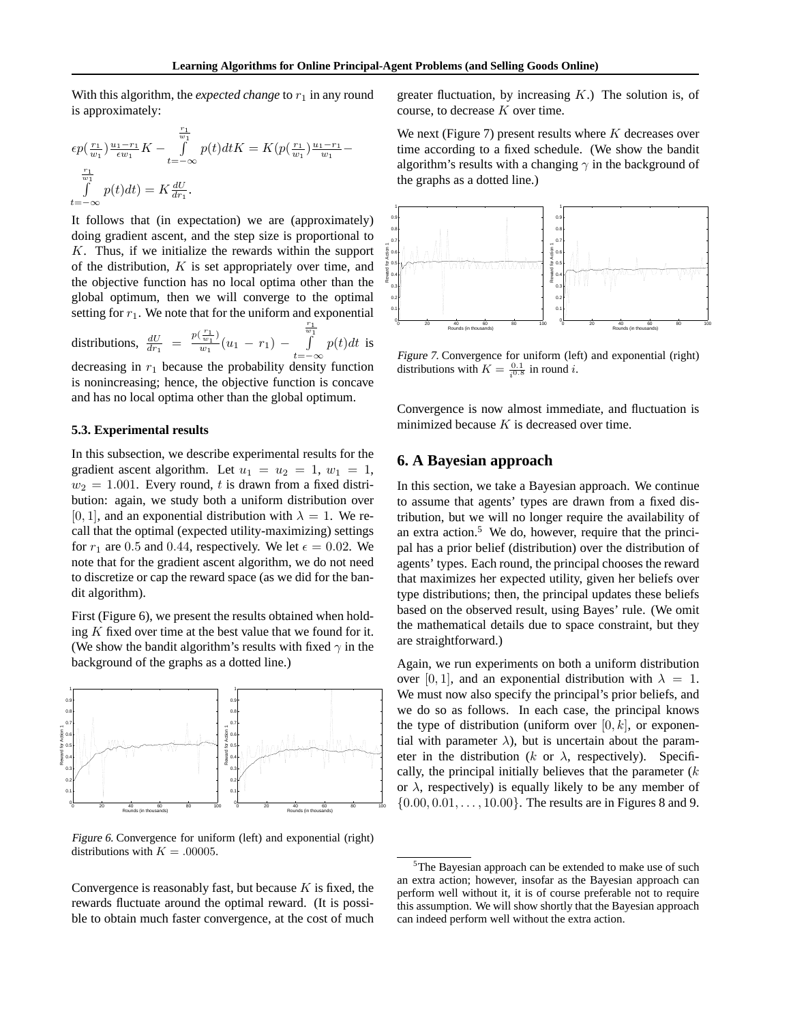With this algorithm, the *expected change* to  $r_1$  in any round is approximately:

$$
\epsilon p(\frac{r_1}{w_1}) \frac{u_1 - r_1}{\epsilon w_1} K - \int_{t = -\infty}^{\frac{r_1}{w_1}} p(t) dt K = K(p(\frac{r_1}{w_1}) \frac{u_1 - r_1}{w_1} - \int_{\frac{r_1}{w_1}}^{\frac{r_1}{w_1}} p(t) dt) = K \frac{dU}{dr_1}.
$$

It follows that (in expectation) we are (approximately) doing gradient ascent, and the step size is proportional to K. Thus, if we initialize the rewards within the support of the distribution,  $K$  is set appropriately over time, and the objective function has no local optima other than the global optimum, then we will converge to the optimal setting for  $r_1$ . We note that for the uniform and exponential distributions,  $\frac{dU}{dr_1} = \frac{p(\frac{r_1}{w_1})}{w_1}(u_1 - r_1)$  –  $\frac{r_1}{w_1}$  $p(t)dt$  is

 $t=-\infty$ decreasing in  $r_1$  because the probability density function is nonincreasing; hence, the objective function is concave and has no local optima other than the global optimum.

#### **5.3. Experimental results**

In this subsection, we describe experimental results for the gradient ascent algorithm. Let  $u_1 = u_2 = 1$ ,  $w_1 = 1$ ,  $w_2 = 1.001$ . Every round, t is drawn from a fixed distribution: again, we study both a uniform distribution over [0, 1], and an exponential distribution with  $\lambda = 1$ . We recall that the optimal (expected utility-maximizing) settings for  $r_1$  are 0.5 and 0.44, respectively. We let  $\epsilon = 0.02$ . We note that for the gradient ascent algorithm, we do not need to discretize or cap the reward space (as we did for the bandit algorithm).

First (Figure 6), we present the results obtained when holding  $K$  fixed over time at the best value that we found for it. (We show the bandit algorithm's results with fixed  $\gamma$  in the background of the graphs as a dotted line.)



Figure 6. Convergence for uniform (left) and exponential (right) distributions with  $K = .00005$ .

Convergence is reasonably fast, but because  $K$  is fixed, the rewards fluctuate around the optimal reward. (It is possible to obtain much faster convergence, at the cost of much

greater fluctuation, by increasing  $K$ .) The solution is, of course, to decrease K over time.

We next (Figure 7) present results where  $K$  decreases over time according to a fixed schedule. (We show the bandit algorithm's results with a changing  $\gamma$  in the background of the graphs as a dotted line.)



Figure 7. Convergence for uniform (left) and exponential (right) distributions with  $K = \frac{0.1}{i^{0.8}}$  in round *i*.

Convergence is now almost immediate, and fluctuation is minimized because  $K$  is decreased over time.

## **6. A Bayesian approach**

In this section, we take a Bayesian approach. We continue to assume that agents' types are drawn from a fixed distribution, but we will no longer require the availability of an extra action.5 We do, however, require that the principal has a prior belief (distribution) over the distribution of agents' types. Each round, the principal chooses the reward that maximizes her expected utility, given her beliefs over type distributions; then, the principal updates these beliefs based on the observed result, using Bayes' rule. (We omit the mathematical details due to space constraint, but they are straightforward.)

Again, we run experiments on both a uniform distribution over [0, 1], and an exponential distribution with  $\lambda = 1$ . We must now also specify the principal's prior beliefs, and we do so as follows. In each case, the principal knows the type of distribution (uniform over  $[0, k]$ , or exponential with parameter  $\lambda$ ), but is uncertain about the parameter in the distribution (k or  $\lambda$ , respectively). Specifically, the principal initially believes that the parameter  $(k)$ or  $\lambda$ , respectively) is equally likely to be any member of  $\{0.00, 0.01, \ldots, 10.00\}$ . The results are in Figures 8 and 9.

<sup>&</sup>lt;sup>5</sup>The Bayesian approach can be extended to make use of such an extra action; however, insofar as the Bayesian approach can perform well without it, it is of course preferable not to require this assumption. We will show shortly that the Bayesian approach can indeed perform well without the extra action.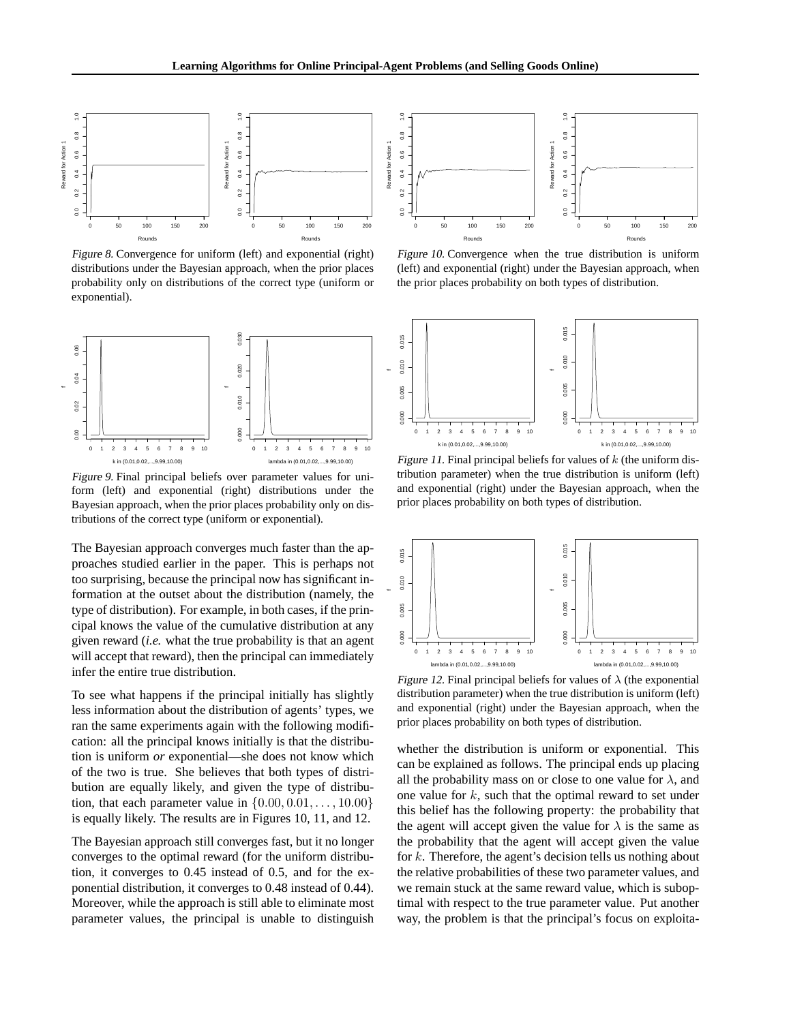f



Figure 8. Convergence for uniform (left) and exponential (right) distributions under the Bayesian approach, when the prior places probability only on distributions of the correct type (uniform or exponential).



Figure 9. Final principal beliefs over parameter values for uniform (left) and exponential (right) distributions under the Bayesian approach, when the prior places probability only on distributions of the correct type (uniform or exponential).

The Bayesian approach converges much faster than the approaches studied earlier in the paper. This is perhaps not too surprising, because the principal now has significant information at the outset about the distribution (namely, the type of distribution). For example, in both cases, if the principal knows the value of the cumulative distribution at any given reward (*i.e.* what the true probability is that an agent will accept that reward), then the principal can immediately infer the entire true distribution.

To see what happens if the principal initially has slightly less information about the distribution of agents' types, we ran the same experiments again with the following modification: all the principal knows initially is that the distribution is uniform *or* exponential—she does not know which of the two is true. She believes that both types of distribution are equally likely, and given the type of distribution, that each parameter value in  $\{0.00, 0.01, \ldots, 10.00\}$ is equally likely. The results are in Figures 10, 11, and 12.

The Bayesian approach still converges fast, but it no longer converges to the optimal reward (for the uniform distribution, it converges to 0.45 instead of 0.5, and for the exponential distribution, it converges to 0.48 instead of 0.44). Moreover, while the approach is still able to eliminate most parameter values, the principal is unable to distinguish



Figure 10. Convergence when the true distribution is uniform (left) and exponential (right) under the Bayesian approach, when the prior places probability on both types of distribution.



Figure 11. Final principal beliefs for values of  $k$  (the uniform distribution parameter) when the true distribution is uniform (left) and exponential (right) under the Bayesian approach, when the prior places probability on both types of distribution.



Figure 12. Final principal beliefs for values of  $\lambda$  (the exponential distribution parameter) when the true distribution is uniform (left) and exponential (right) under the Bayesian approach, when the prior places probability on both types of distribution.

whether the distribution is uniform or exponential. This can be explained as follows. The principal ends up placing all the probability mass on or close to one value for  $\lambda$ , and one value for  $k$ , such that the optimal reward to set under this belief has the following property: the probability that the agent will accept given the value for  $\lambda$  is the same as the probability that the agent will accept given the value for k. Therefore, the agent's decision tells us nothing about the relative probabilities of these two parameter values, and we remain stuck at the same reward value, which is suboptimal with respect to the true parameter value. Put another way, the problem is that the principal's focus on exploita